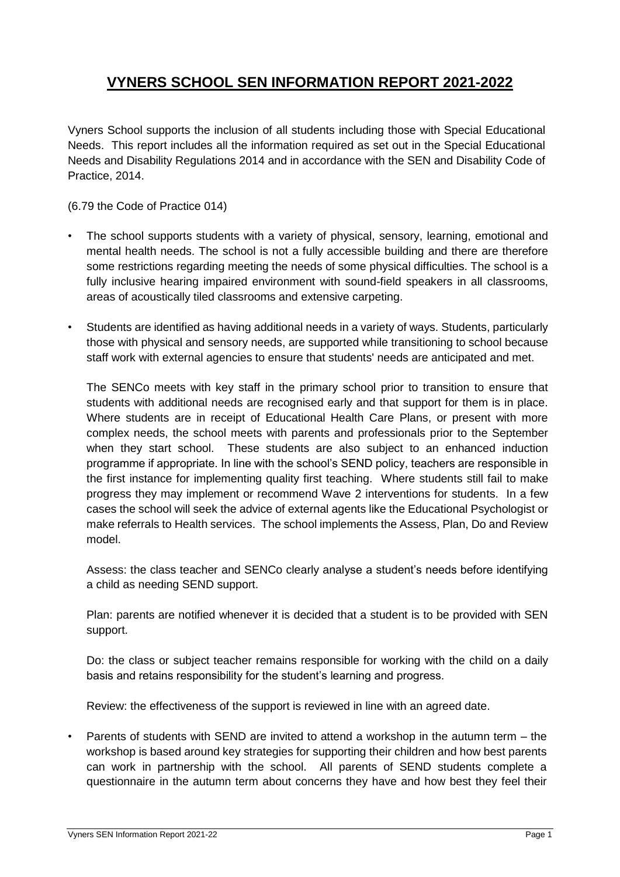# **VYNERS SCHOOL SEN INFORMATION REPORT 2021-2022**

Vyners School supports the inclusion of all students including those with Special Educational Needs. This report includes all the information required as set out in the Special Educational Needs and Disability Regulations 2014 and in accordance with the SEN and Disability Code of Practice, 2014.

(6.79 the Code of Practice 014)

- The school supports students with a variety of physical, sensory, learning, emotional and mental health needs. The school is not a fully accessible building and there are therefore some restrictions regarding meeting the needs of some physical difficulties. The school is a fully inclusive hearing impaired environment with sound-field speakers in all classrooms, areas of acoustically tiled classrooms and extensive carpeting.
- Students are identified as having additional needs in a variety of ways. Students, particularly those with physical and sensory needs, are supported while transitioning to school because staff work with external agencies to ensure that students' needs are anticipated and met.

The SENCo meets with key staff in the primary school prior to transition to ensure that students with additional needs are recognised early and that support for them is in place. Where students are in receipt of Educational Health Care Plans, or present with more complex needs, the school meets with parents and professionals prior to the September when they start school. These students are also subject to an enhanced induction programme if appropriate. In line with the school's SEND policy, teachers are responsible in the first instance for implementing quality first teaching. Where students still fail to make progress they may implement or recommend Wave 2 interventions for students. In a few cases the school will seek the advice of external agents like the Educational Psychologist or make referrals to Health services. The school implements the Assess, Plan, Do and Review model.

Assess: the class teacher and SENCo clearly analyse a student's needs before identifying a child as needing SEND support.

Plan: parents are notified whenever it is decided that a student is to be provided with SEN support.

Do: the class or subject teacher remains responsible for working with the child on a daily basis and retains responsibility for the student's learning and progress.

Review: the effectiveness of the support is reviewed in line with an agreed date.

• Parents of students with SEND are invited to attend a workshop in the autumn term – the workshop is based around key strategies for supporting their children and how best parents can work in partnership with the school. All parents of SEND students complete a questionnaire in the autumn term about concerns they have and how best they feel their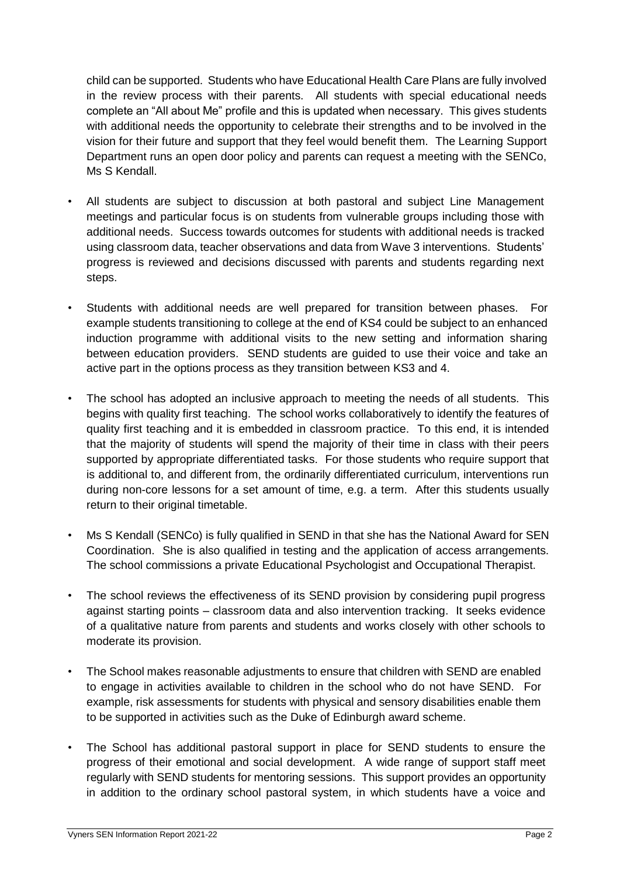child can be supported. Students who have Educational Health Care Plans are fully involved in the review process with their parents. All students with special educational needs complete an "All about Me" profile and this is updated when necessary. This gives students with additional needs the opportunity to celebrate their strengths and to be involved in the vision for their future and support that they feel would benefit them. The Learning Support Department runs an open door policy and parents can request a meeting with the SENCo, Ms S Kendall.

- All students are subject to discussion at both pastoral and subject Line Management meetings and particular focus is on students from vulnerable groups including those with additional needs. Success towards outcomes for students with additional needs is tracked using classroom data, teacher observations and data from Wave 3 interventions. Students' progress is reviewed and decisions discussed with parents and students regarding next steps.
- Students with additional needs are well prepared for transition between phases. For example students transitioning to college at the end of KS4 could be subject to an enhanced induction programme with additional visits to the new setting and information sharing between education providers. SEND students are guided to use their voice and take an active part in the options process as they transition between KS3 and 4.
- The school has adopted an inclusive approach to meeting the needs of all students. This begins with quality first teaching. The school works collaboratively to identify the features of quality first teaching and it is embedded in classroom practice. To this end, it is intended that the majority of students will spend the majority of their time in class with their peers supported by appropriate differentiated tasks. For those students who require support that is additional to, and different from, the ordinarily differentiated curriculum, interventions run during non-core lessons for a set amount of time, e.g. a term. After this students usually return to their original timetable.
- Ms S Kendall (SENCo) is fully qualified in SEND in that she has the National Award for SEN Coordination. She is also qualified in testing and the application of access arrangements. The school commissions a private Educational Psychologist and Occupational Therapist.
- The school reviews the effectiveness of its SEND provision by considering pupil progress against starting points – classroom data and also intervention tracking. It seeks evidence of a qualitative nature from parents and students and works closely with other schools to moderate its provision.
- The School makes reasonable adjustments to ensure that children with SEND are enabled to engage in activities available to children in the school who do not have SEND. For example, risk assessments for students with physical and sensory disabilities enable them to be supported in activities such as the Duke of Edinburgh award scheme.
- The School has additional pastoral support in place for SEND students to ensure the progress of their emotional and social development. A wide range of support staff meet regularly with SEND students for mentoring sessions. This support provides an opportunity in addition to the ordinary school pastoral system, in which students have a voice and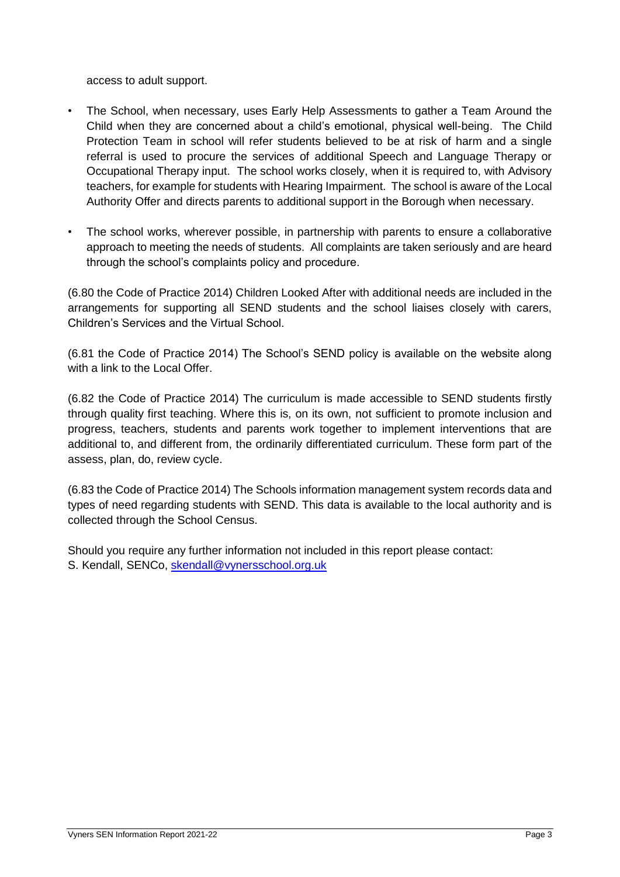access to adult support.

- The School, when necessary, uses Early Help Assessments to gather a Team Around the Child when they are concerned about a child's emotional, physical well-being. The Child Protection Team in school will refer students believed to be at risk of harm and a single referral is used to procure the services of additional Speech and Language Therapy or Occupational Therapy input. The school works closely, when it is required to, with Advisory teachers, for example for students with Hearing Impairment. The school is aware of the Local Authority Offer and directs parents to additional support in the Borough when necessary.
- The school works, wherever possible, in partnership with parents to ensure a collaborative approach to meeting the needs of students. All complaints are taken seriously and are heard through the school's complaints policy and procedure.

(6.80 the Code of Practice 2014) Children Looked After with additional needs are included in the arrangements for supporting all SEND students and the school liaises closely with carers, Children's Services and the Virtual School.

(6.81 the Code of Practice 2014) The School's SEND policy is available on the website along with a link to the Local Offer.

(6.82 the Code of Practice 2014) The curriculum is made accessible to SEND students firstly through quality first teaching. Where this is, on its own, not sufficient to promote inclusion and progress, teachers, students and parents work together to implement interventions that are additional to, and different from, the ordinarily differentiated curriculum. These form part of the assess, plan, do, review cycle.

(6.83 the Code of Practice 2014) The Schools information management system records data and types of need regarding students with SEND. This data is available to the local authority and is collected through the School Census.

Should you require any further information not included in this report please contact: S. Kendall, SENCo, [skendall@vynersschool.org.uk](mailto:skendall@vynersschool.org.uk)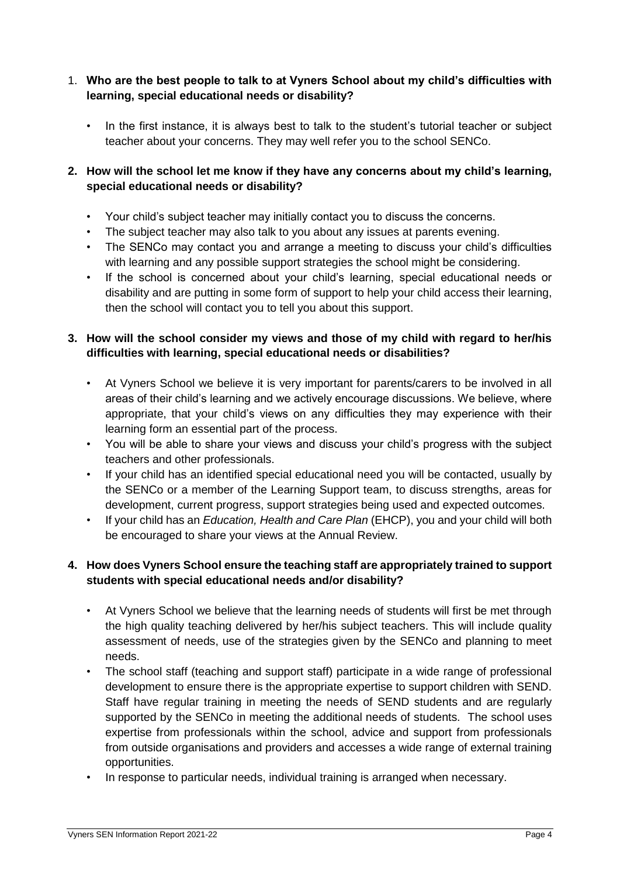#### 1. **Who are the best people to talk to at Vyners School about my child's difficulties with learning, special educational needs or disability?**

• In the first instance, it is always best to talk to the student's tutorial teacher or subject teacher about your concerns. They may well refer you to the school SENCo.

# **2. How will the school let me know if they have any concerns about my child's learning, special educational needs or disability?**

- Your child's subject teacher may initially contact you to discuss the concerns.
- The subject teacher may also talk to you about any issues at parents evening.
- The SENCo may contact you and arrange a meeting to discuss your child's difficulties with learning and any possible support strategies the school might be considering.
- If the school is concerned about your child's learning, special educational needs or disability and are putting in some form of support to help your child access their learning, then the school will contact you to tell you about this support.

# **3. How will the school consider my views and those of my child with regard to her/his difficulties with learning, special educational needs or disabilities?**

- At Vyners School we believe it is very important for parents/carers to be involved in all areas of their child's learning and we actively encourage discussions. We believe, where appropriate, that your child's views on any difficulties they may experience with their learning form an essential part of the process.
- You will be able to share your views and discuss your child's progress with the subject teachers and other professionals.
- If your child has an identified special educational need you will be contacted, usually by the SENCo or a member of the Learning Support team, to discuss strengths, areas for development, current progress, support strategies being used and expected outcomes.
- If your child has an *Education, Health and Care Plan* (EHCP), you and your child will both be encouraged to share your views at the Annual Review.

# **4. How does Vyners School ensure the teaching staff are appropriately trained to support students with special educational needs and/or disability?**

- At Vyners School we believe that the learning needs of students will first be met through the high quality teaching delivered by her/his subject teachers. This will include quality assessment of needs, use of the strategies given by the SENCo and planning to meet needs.
- The school staff (teaching and support staff) participate in a wide range of professional development to ensure there is the appropriate expertise to support children with SEND. Staff have regular training in meeting the needs of SEND students and are regularly supported by the SENCo in meeting the additional needs of students. The school uses expertise from professionals within the school, advice and support from professionals from outside organisations and providers and accesses a wide range of external training opportunities.
- In response to particular needs, individual training is arranged when necessary.